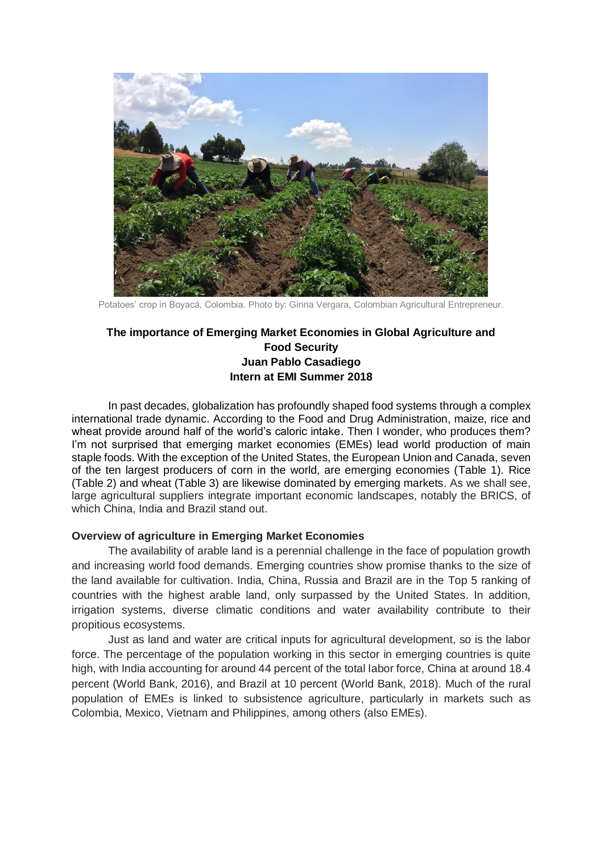

Potatoes' crop in Boyacá, Colombia. Photo by: Ginna Vergara, Colombian Agricultural Entrepreneur.

# **The importance of Emerging Market Economies in Global Agriculture and Food Security Juan Pablo Casadiego Intern at EMI Summer 2018**

In past decades, globalization has profoundly shaped food systems through a complex international trade dynamic. According to the Food and Drug Administration, maize, rice and wheat provide around half of the world's caloric intake. Then I wonder, who produces them? I'm not surprised that emerging market economies (EMEs) lead world production of main staple foods. With the exception of the United States, the European Union and Canada, seven of the ten largest producers of corn in the world, are emerging economies (Table 1). Rice (Table 2) and wheat (Table 3) are likewise dominated by emerging markets. As we shall see, large agricultural suppliers integrate important economic landscapes, notably the BRICS, of which China, India and Brazil stand out.

#### **Overview of agriculture in Emerging Market Economies**

The availability of arable land is a perennial challenge in the face of population growth and increasing world food demands. Emerging countries show promise thanks to the size of the land available for cultivation. India, China, Russia and Brazil are in the Top 5 ranking of countries with the highest arable land, only surpassed by the United States. In addition, irrigation systems, diverse climatic conditions and water availability contribute to their propitious ecosystems.

Just as land and water are critical inputs for agricultural development, so is the labor force. The percentage of the population working in this sector in emerging countries is quite high, with India accounting for around 44 percent of the total labor force, China at around 18.4 percent (World Bank, 2016), and Brazil at 10 percent (World Bank, 2018). Much of the rural population of EMEs is linked to subsistence agriculture, particularly in markets such as Colombia, Mexico, Vietnam and Philippines, among others (also EMEs).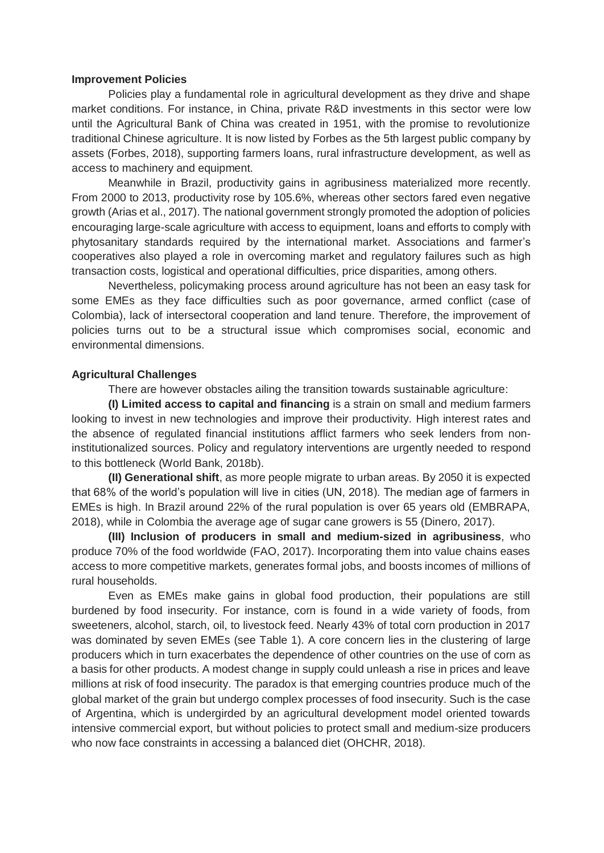#### **Improvement Policies**

Policies play a fundamental role in agricultural development as they drive and shape market conditions. For instance, in China, private R&D investments in this sector were low until the Agricultural Bank of China was created in 1951, with the promise to revolutionize traditional Chinese agriculture. It is now listed by Forbes as the 5th largest public company by assets (Forbes, 2018), supporting farmers loans, rural infrastructure development, as well as access to machinery and equipment.

Meanwhile in Brazil, productivity gains in agribusiness materialized more recently. From 2000 to 2013, productivity rose by 105.6%, whereas other sectors fared even negative growth (Arias et al., 2017). The national government strongly promoted the adoption of policies encouraging large-scale agriculture with access to equipment, loans and efforts to comply with phytosanitary standards required by the international market. Associations and farmer's cooperatives also played a role in overcoming market and regulatory failures such as high transaction costs, logistical and operational difficulties, price disparities, among others.

Nevertheless, policymaking process around agriculture has not been an easy task for some EMEs as they face difficulties such as poor governance, armed conflict (case of Colombia), lack of intersectoral cooperation and land tenure. Therefore, the improvement of policies turns out to be a structural issue which compromises social, economic and environmental dimensions.

#### **Agricultural Challenges**

There are however obstacles ailing the transition towards sustainable agriculture:

**(I) Limited access to capital and financing** is a strain on small and medium farmers looking to invest in new technologies and improve their productivity. High interest rates and the absence of regulated financial institutions afflict farmers who seek lenders from noninstitutionalized sources. Policy and regulatory interventions are urgently needed to respond to this bottleneck (World Bank, 2018b).

**(II) Generational shift**, as more people migrate to urban areas. By 2050 it is expected that 68% of the world's population will live in cities (UN, 2018). The median age of farmers in EMEs is high. In Brazil around 22% of the rural population is over 65 years old (EMBRAPA, 2018), while in Colombia the average age of sugar cane growers is 55 (Dinero, 2017).

**(III) Inclusion of producers in small and medium-sized in agribusiness**, who produce 70% of the food worldwide (FAO, 2017). Incorporating them into value chains eases access to more competitive markets, generates formal jobs, and boosts incomes of millions of rural households.

Even as EMEs make gains in global food production, their populations are still burdened by food insecurity. For instance, corn is found in a wide variety of foods, from sweeteners, alcohol, starch, oil, to livestock feed. Nearly 43% of total corn production in 2017 was dominated by seven EMEs (see Table 1). A core concern lies in the clustering of large producers which in turn exacerbates the dependence of other countries on the use of corn as a basis for other products. A modest change in supply could unleash a rise in prices and leave millions at risk of food insecurity. The paradox is that emerging countries produce much of the global market of the grain but undergo complex processes of food insecurity. Such is the case of Argentina, which is undergirded by an agricultural development model oriented towards intensive commercial export, but without policies to protect small and medium-size producers who now face constraints in accessing a balanced diet (OHCHR, 2018).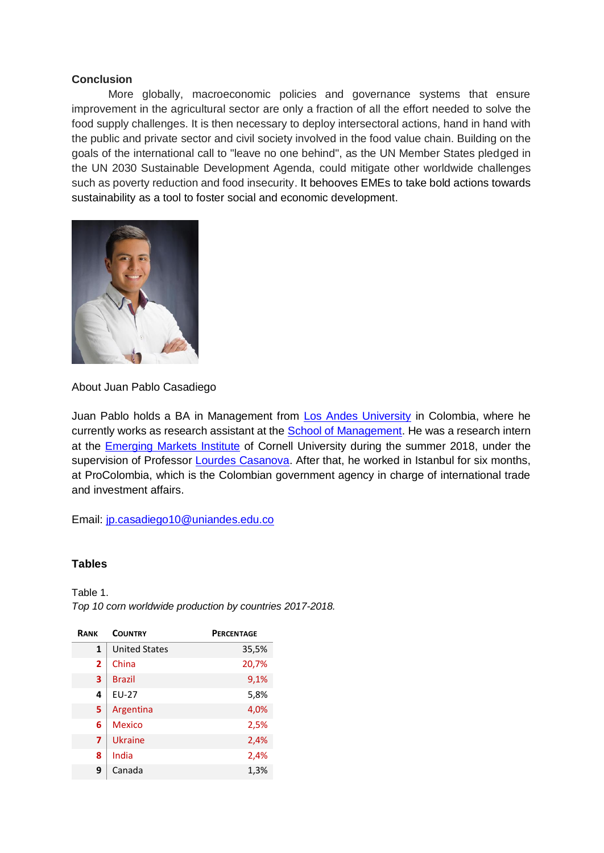### **Conclusion**

More globally, macroeconomic policies and governance systems that ensure improvement in the agricultural sector are only a fraction of all the effort needed to solve the food supply challenges. It is then necessary to deploy intersectoral actions, hand in hand with the public and private sector and civil society involved in the food value chain. Building on the goals of the international call to "leave no one behind", as the UN Member States pledged in the UN 2030 Sustainable Development Agenda, could mitigate other worldwide challenges such as poverty reduction and food insecurity. It behooves EMEs to take bold actions towards sustainability as a tool to foster social and economic development.



About Juan Pablo Casadiego

Juan Pablo holds a BA in Management from [Los Andes University](https://uniandes.edu.co/en) in Colombia, where he currently works as research assistant at the [School of Management.](https://administracion.uniandes.edu.co/index.php/en/the-school/about-the-school/school-of-management) He was a research intern at the [Emerging Markets Institute](https://www.johnson.cornell.edu/Emerging-Markets-Institute) of Cornell University during the summer 2018, under the supervision of Professor [Lourdes Casanova.](http://www.johnson.cornell.edu/Faculty-And-Research/Profile.aspx?id=lc683) After that, he worked in Istanbul for six months, at ProColombia, which is the Colombian government agency in charge of international trade and investment affairs.

Email: [jp.casadiego10@uniandes.edu.co](mailto:jp.casadiego10@uniandes.edu.co)

## **Tables**

Table 1. *Top 10 corn worldwide production by countries 2017-2018.*

| RANK           | <b>COUNTRY</b>       | <b>PERCENTAGE</b> |
|----------------|----------------------|-------------------|
| $\mathbf{1}$   | <b>United States</b> | 35,5%             |
| $\overline{2}$ | China                | 20,7%             |
| 3              | <b>Brazil</b>        | 9,1%              |
| 4              | <b>EU-27</b>         | 5,8%              |
| 5              | Argentina            | 4,0%              |
| 6              | Mexico               | 2,5%              |
| 7              | <b>Ukraine</b>       | 2,4%              |
| 8              | India                | 2,4%              |
| 9              | Canada               | 1,3%              |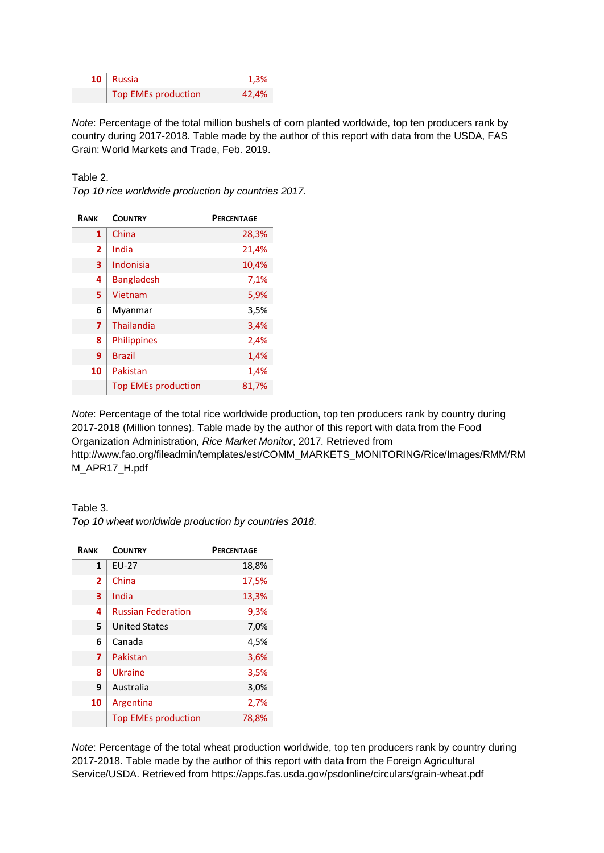| $10$ Russia         | 1,3%  |
|---------------------|-------|
| Top EMEs production | 42,4% |

*Note*: Percentage of the total million bushels of corn planted worldwide, top ten producers rank by country during 2017-2018. Table made by the author of this report with data from the USDA, FAS Grain: World Markets and Trade, Feb. 2019.

Table 2.

*Top 10 rice worldwide production by countries 2017.*

| <b>RANK</b> | <b>COUNTRY</b>             | <b>PERCENTAGE</b> |
|-------------|----------------------------|-------------------|
| 1           | China                      | 28,3%             |
| 2           | India                      | 21,4%             |
| 3           | Indonisia                  | 10,4%             |
| 4           | <b>Bangladesh</b>          | 7,1%              |
| 5           | Vietnam                    | 5,9%              |
| 6           | Myanmar                    | 3,5%              |
| 7           | Thailandia                 | 3,4%              |
| 8           | <b>Philippines</b>         | 2,4%              |
| 9           | <b>Brazil</b>              | 1,4%              |
| 10          | Pakistan                   | 1,4%              |
|             | <b>Top EMEs production</b> | 81,7%             |

*Note*: Percentage of the total rice worldwide production, top ten producers rank by country during 2017-2018 (Million tonnes). Table made by the author of this report with data from the Food Organization Administration, *Rice Market Monitor*, 2017. Retrieved from http://www.fao.org/fileadmin/templates/est/COMM\_MARKETS\_MONITORING/Rice/Images/RMM/RM M\_APR17\_H.pdf

Table 3.

*Top 10 wheat worldwide production by countries 2018.*

| RANK           | <b>COUNTRY</b>             | <b>PERCENTAGE</b> |
|----------------|----------------------------|-------------------|
| $\mathbf{1}$   | EU-27                      | 18,8%             |
| $\overline{2}$ | China                      | 17,5%             |
| 3              | India                      | 13,3%             |
| 4              | <b>Russian Federation</b>  | 9,3%              |
| 5              | <b>United States</b>       | 7,0%              |
| 6              | Canada                     | 4,5%              |
| 7              | Pakistan                   | 3,6%              |
| 8              | Ukraine                    | 3,5%              |
| 9              | Australia                  | 3,0%              |
| 10             | Argentina                  | 2,7%              |
|                | <b>Top EMEs production</b> | 78,8%             |

*Note*: Percentage of the total wheat production worldwide, top ten producers rank by country during 2017-2018. Table made by the author of this report with data from the Foreign Agricultural Service/USDA. Retrieved from https://apps.fas.usda.gov/psdonline/circulars/grain-wheat.pdf